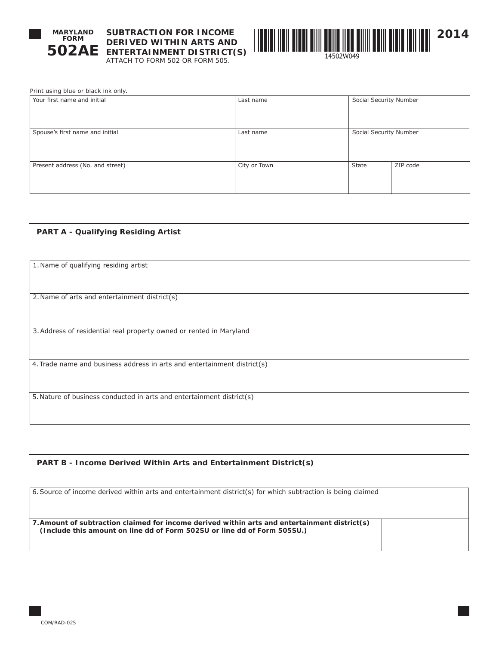

**SUBTRACTION FOR INCOME DERIVED WITHIN ARTS AND ENTERTAINMENT DISTRICT(S)** ATTACH TO FORM 502 OR FORM 505.



| Print using blue or black ink only. |  |
|-------------------------------------|--|
| Your first name and initial         |  |

| Your first name and initial      | Last name    | Social Security Number |          |
|----------------------------------|--------------|------------------------|----------|
| Spouse's first name and initial  | Last name    | Social Security Number |          |
| Present address (No. and street) | City or Town | State                  | ZIP code |

# **PART A - Qualifying Residing Artist**

| 1. Name of qualifying residing artist                                    |  |  |
|--------------------------------------------------------------------------|--|--|
|                                                                          |  |  |
|                                                                          |  |  |
| 2. Name of arts and entertainment district(s)                            |  |  |
|                                                                          |  |  |
|                                                                          |  |  |
|                                                                          |  |  |
| 3. Address of residential real property owned or rented in Maryland      |  |  |
|                                                                          |  |  |
|                                                                          |  |  |
| 4. Trade name and business address in arts and entertainment district(s) |  |  |
|                                                                          |  |  |
|                                                                          |  |  |
| 5. Nature of business conducted in arts and entertainment district(s)    |  |  |
|                                                                          |  |  |
|                                                                          |  |  |
|                                                                          |  |  |

# **PART B - Income Derived Within Arts and Entertainment District(s)**

| 6. Source of income derived within arts and entertainment district(s) for which subtraction is being claimed                                                              |  |  |  |  |
|---------------------------------------------------------------------------------------------------------------------------------------------------------------------------|--|--|--|--|
| 7. Amount of subtraction claimed for income derived within arts and entertainment district(s)<br>(Include this amount on line dd of Form 502SU or line dd of Form 505SU.) |  |  |  |  |